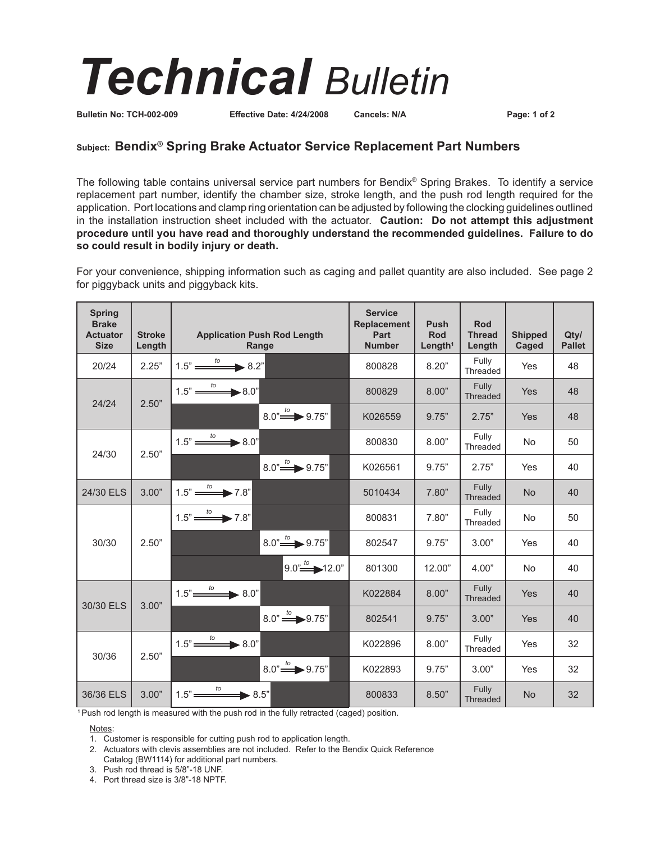## *Technical Bulletin*

**Bulletin No: TCH-002-009 Effective Date: 4/24/2008 Cancels: N/A Page: 1 of 2**

## **Subject: Bendix® Spring Brake Actuator Service Replacement Part Numbers**

The following table contains universal service part numbers for Bendix® Spring Brakes. To identify a service replacement part number, identify the chamber size, stroke length, and the push rod length required for the application. Port locations and clamp ring orientation can be adjusted by following the clocking guidelines outlined in the installation instruction sheet included with the actuator. **Caution: Do not attempt this adjustment procedure until you have read and thoroughly understand the recommended guidelines. Failure to do so could result in bodily injury or death.** 

For your convenience, shipping information such as caging and pallet quantity are also included. See page 2 for piggyback units and piggyback kits.

| <b>Spring</b><br><b>Brake</b><br><b>Actuator</b><br><b>Size</b> | <b>Stroke</b><br>Length | <b>Application Push Rod Length</b><br>Range        | <b>Service</b><br><b>Replacement</b><br>Part<br><b>Number</b> | Push<br>Rod<br>Length <sup>1</sup> | Rod<br><b>Thread</b><br>Length | <b>Shipped</b><br>Caged | Qtv/<br><b>Pallet</b> |
|-----------------------------------------------------------------|-------------------------|----------------------------------------------------|---------------------------------------------------------------|------------------------------------|--------------------------------|-------------------------|-----------------------|
| 20/24                                                           | 2.25"                   | $1.5" \xrightarrow{to} 8.2"$                       | 800828                                                        | 8.20"                              | Fully<br>Threaded              | Yes                     | 48                    |
| 24/24                                                           | 2.50"                   | $1.5" \xrightarrow{to} 8.0"$                       | 800829                                                        | 8.00"                              | Fully<br><b>Threaded</b>       | Yes                     | 48                    |
|                                                                 |                         | $8.0'' \rightarrow 9.75''$                         | K026559                                                       | 9.75"                              | 2.75"                          | Yes                     | 48                    |
| 24/30                                                           | 2.50"                   | $1.5" \xrightarrow{to} 8.0"$                       | 800830                                                        | 8.00"                              | Fully<br>Threaded              | <b>No</b>               | 50                    |
|                                                                 |                         | $8.0'' \rightarrow 9.75''$                         | K026561                                                       | 9.75"                              | 2.75"                          | Yes                     | 40                    |
| 24/30 ELS                                                       | 3.00"                   | $1.5" \longrightarrow 7.8"$                        | 5010434                                                       | 7.80"                              | Fully<br><b>Threaded</b>       | <b>No</b>               | 40                    |
| 30/30                                                           | 2.50"                   | $1.5" \xrightarrow{to} 7.8"$                       | 800831                                                        | 7.80"                              | Fully<br>Threaded              | <b>No</b>               | 50                    |
|                                                                 |                         | $8.0" \rightarrow 9.75"$                           | 802547                                                        | 9.75"                              | 3.00"                          | Yes                     | 40                    |
|                                                                 |                         | $9.0^{n}$ $^{to}$ $12.0^{n}$                       | 801300                                                        | 12.00"                             | 4.00"                          | No                      | 40                    |
| 30/30 ELS                                                       | 3.00"                   | $1.5" \xrightarrow{to} 8.0"$                       | K022884                                                       | 8.00"                              | Fully<br><b>Threaded</b>       | Yes                     | 40                    |
|                                                                 |                         | $8.0" \stackrel{to}{\Longrightarrow} 9.75"$        | 802541                                                        | 9.75"                              | 3.00"                          | Yes                     | 40                    |
| 30/36                                                           | 2.50"                   | $1.5" \xrightarrow{to} 8.0"$                       | K022896                                                       | 8.00"                              | Fully<br>Threaded              | Yes                     | 32                    |
|                                                                 |                         | $8.0" \stackrel{\text{to}}{\longrightarrow} 9.75"$ | K022893                                                       | 9.75"                              | 3.00"                          | Yes                     | 32                    |
| 36/36 ELS                                                       | 3.00"                   | $1.5" \xrightarrow{to} 8.5"$                       | 800833                                                        | 8.50"                              | Fully<br>Threaded              | <b>No</b>               | 32                    |

<sup>1</sup> Push rod length is measured with the push rod in the fully retracted (caged) position.

Notes:

1. Customer is responsible for cutting push rod to application length.

- 2. Actuators with clevis assemblies are not included. Refer to the Bendix Quick Reference Catalog (BW1114) for additional part numbers.
- 3. Push rod thread is 5/8"-18 UNF.
- 4. Port thread size is 3/8"-18 NPTF.